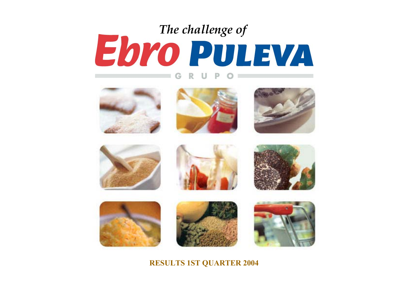# **EDYO PULEVA** G



















#### **RESULTS 1ST QUARTER 2004**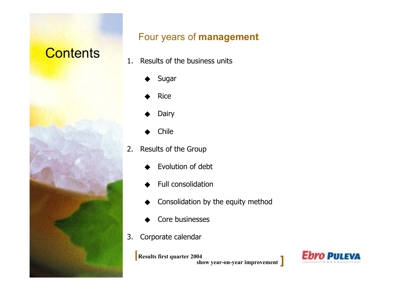# **Contents**



#### Four years of **management**

- 1. Results of the business units
	- ◆Sugar
	- ◆Rice
	- ◆Dairy
	- ◆Chile
- 2. Results of the Group
	- ◆Evolution of debt
	- ◆Full consolidation
	- ◆Consolidation by the equity method
	- ◆Core businesses
- 3.Corporate calendar

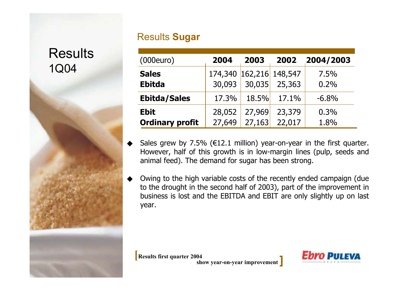#### Results **Sugar**

1Q04 **Results** 



| (000euro)              | 2004                    | 2003   | 2002   | 2004/2003 |
|------------------------|-------------------------|--------|--------|-----------|
| <b>Sales</b>           | 174,340 162,216 148,547 |        |        | 7.5%      |
| <b>Ebitda</b>          | 30,093                  | 30,035 | 25,363 | 0.2%      |
| <b>Ebitda/Sales</b>    | 17.3%                   | 18.5%  | 17.1%  | $-6.8%$   |
| <b>Ebit</b>            | 28,052                  | 27,969 | 23,379 | 0.3%      |
| <b>Ordinary profit</b> | 27,649                  | 27,163 | 22,017 | 1.8%      |

- ◆Sales grew by 7.5% ( $E12.1$  million) year-on-year in the first quarter. However, half of this growth is in low-margin lines (pulp, seeds and animal feed). The demand for sugar has been strong.
- ◆ Owing to the high variable costs of the recently ended campaign (due to the drought in the second half of 2003), part of the improvement in business is lost and the EBITDA and EBIT are only slightly up on last year.

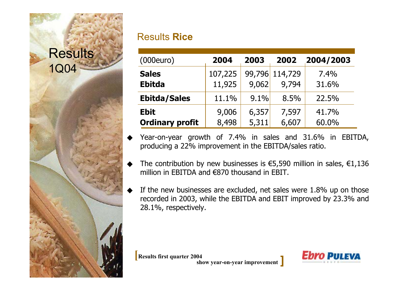# 1Q04 Results

#### Results **Rice**

| (000euro)                     | 2004              | 2003  | 2002                    | 2004/2003     |
|-------------------------------|-------------------|-------|-------------------------|---------------|
| <b>Sales</b><br><b>Ebitda</b> | 107,225<br>11,925 | 9,062 | 99,796 114,729<br>9,794 | 7.4%<br>31.6% |
| <b>Ebitda/Sales</b>           | 11.1%             | 9.1%  | 8.5%                    | 22.5%         |
| <b>Ebit</b>                   | 9,006             | 6,357 | 7,597                   | 41.7%         |
| <b>Ordinary profit</b>        | 8,498             | 5,311 | 6,607                   | 60.0%         |

◆ Year-on-year growth of 7.4% in sales and 31.6% in EBITDA, producing a 22% improvement in the EBITDA/sales ratio.

- ◆The contribution by new businesses is  $\epsilon$ 5,590 million in sales,  $\epsilon$ 1,136 million in EBITDA and €870 thousand in EBIT.
- ◆ If the new businesses are excluded, net sales were 1.8% up on those recorded in 2003, while the EBITDA and EBIT improved by 23.3% and 28.1%, respectively.

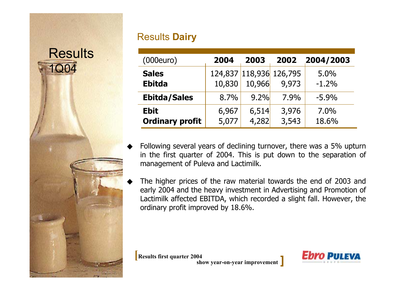#### Results **Dairy**

| (000euro)                             | 2004           | 2003           | 2002                             | 2004/2003        |
|---------------------------------------|----------------|----------------|----------------------------------|------------------|
| <b>Sales</b><br><b>Ebitda</b>         | 10,830         | 10,966         | 124,837 118,936 126,795<br>9,973 | 5.0%<br>$-1.2%$  |
| <b>Ebitda/Sales</b>                   | 8.7%           | 9.2%           | $7.9\%$                          | $-5.9\%$         |
| <b>Ebit</b><br><b>Ordinary profit</b> | 6,967<br>5,077 | 6,514<br>4,282 | 3,976<br>3,543                   | $7.0\%$<br>18.6% |

- ◆ Following several years of declining turnover, there was a 5% upturn in the first quarter of 2004. This is put down to the separation of management of Puleva and Lactimilk.
- ◆ The higher prices of the raw material towards the end of 2003 and early 2004 and the heavy investment in Advertising and Promotion of Lactimilk affected EBITDA, which recorded a slight fall. However, the ordinary profit improved by 18.6%.

**Results first quarter 2004**<br>**show year-on-year improvement** 



1Q04 Results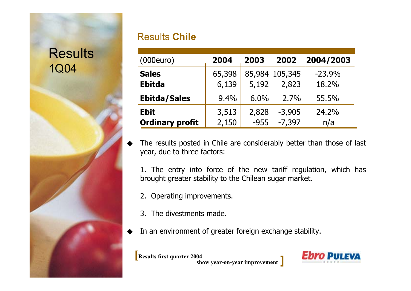# 1Q04 **Results**

#### Results **Chile**

| (000euro)                     | 2004            | 2003   | 2002                    | 2004/2003         |
|-------------------------------|-----------------|--------|-------------------------|-------------------|
| <b>Sales</b><br><b>Ebitda</b> | 65,398<br>6,139 | 5,192  | 85,984 105,345<br>2,823 | $-23.9%$<br>18.2% |
| <b>Ebitda/Sales</b>           | 9.4%            | 6.0%   | 2.7%                    | 55.5%             |
| <b>Ebit</b>                   | 3,513           | 2,828  | $-3,905$                | 24.2%             |
| <b>Ordinary profit</b>        | 2,150           | $-955$ | $-7,397$                | n/a               |

◆ The results posted in Chile are considerably better than those of last year, due to three factors:

1. The entry into force of the new tariff regulation, which has brought greater stability to the Chilean sugar market.

- 2. Operating improvements.
- 3. The divestments made.
- ◆In an environment of greater foreign exchange stability.

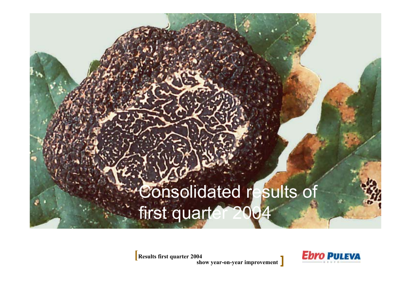# Consolidated results of first quarter

**Results first quarter 2004 mprovement ]**

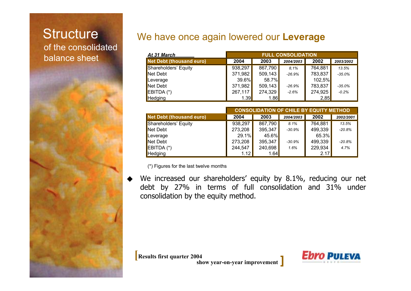#### of the consolidated balance sheetStructure

#### We have once again lowered our **Leverage**

| At 31 March              | <b>FULL CONSOLIDATION</b> |          |           |         |           |  |
|--------------------------|---------------------------|----------|-----------|---------|-----------|--|
| Net Debt (thousand euro) | 2004                      | 2003     | 2004/2003 | 2002    | 2003/2002 |  |
| Shareholders' Equity     | 938,297                   | 867,790  | 8.1%      | 764,881 | 13.5%     |  |
| Net Debt                 | 371,982                   | 509, 143 | $-26.9%$  | 783,837 | $-35.0%$  |  |
| Leverage                 | $39.6\%$                  | 58.7%    |           | 102,5%  |           |  |
| Net Debt                 | 371,982                   | 509, 143 | $-26.9%$  | 783,837 | $-35.0%$  |  |
| EBITDA (*)               | 267,117                   | 274,329  | $-2.6%$   | 274,925 | $-0.2%$   |  |
| Hedging                  | 1.39                      | 1.86     |           | 2,85    |           |  |

|                                 | <b>CONSOLIDATIÓN OF CHILE BY EQUITY METHOD</b> |         |           |         |           |  |  |
|---------------------------------|------------------------------------------------|---------|-----------|---------|-----------|--|--|
| <b>Net Debt (thousand euro)</b> | 2004                                           | 2003    | 2004/2003 | 2002    | 2002/2001 |  |  |
| Shareholders' Equity            | 938,297                                        | 867,790 | 8.1%      | 764,881 | 13.5%     |  |  |
| Net Debt                        | 273,208                                        | 395,347 | $-30.9%$  | 499,339 | $-20.8%$  |  |  |
| <b>Leverage</b>                 | 29.1%                                          | 45.6%   |           | 65.3%   |           |  |  |
| Net Debt                        | 273,208                                        | 395,347 | $-30.9%$  | 499,339 | $-20.8%$  |  |  |
| $EBITDA (*)$                    | 244,547                                        | 240,698 | 1.6%      | 229,934 | 4.7%      |  |  |
| Hedging                         | 1.12                                           | 1.64    |           | 2.17    |           |  |  |

(\*) Figures for the last twelve months

◆ We increased our shareholders' equity by 8.1%, reducing our net debt by 27% in terms of full consolidation and 31% under consolidation by the equity method.

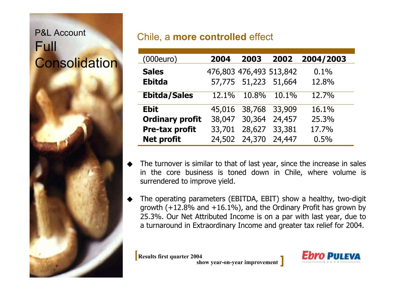### P&L Account Full Consolidation

#### Chile, a **more controlled** effect

| (000euro)              | 2004   | 2003                    | 2002     | 2004/2003 |
|------------------------|--------|-------------------------|----------|-----------|
| <b>Sales</b>           |        | 476,803 476,493 513,842 |          | 0.1%      |
| <b>Ebitda</b>          |        | 57,775 51,223 51,664    |          | 12.8%     |
| <b>Ebitda/Sales</b>    | 12.1%  | 10.8%                   | $10.1\%$ | 12.7%     |
| <b>Ebit</b>            |        | 45,016 38,768 33,909    |          | 16.1%     |
| <b>Ordinary profit</b> |        | 38,047 30,364           | 24,457   | 25.3%     |
| Pre-tax profit         | 33,701 | 28,627                  | 33,381   | 17.7%     |
| <b>Net profit</b>      | 24,502 | 24,370                  | 24,447   | 0.5%      |

- ◆ The turnover is similar to that of last year, since the increase in sales in the core business is toned down in Chile, where volume is surrendered to improve yield.
- ◆ The operating parameters (EBITDA, EBIT) show a healthy, two-digit growth  $(+12.8\%$  and  $+16.1\%)$ , and the Ordinary Profit has grown by 25.3%. Our Net Attributed Income is on a par with last year, due to a turnaround in Extraordinary Income and greater tax relief for 2004.

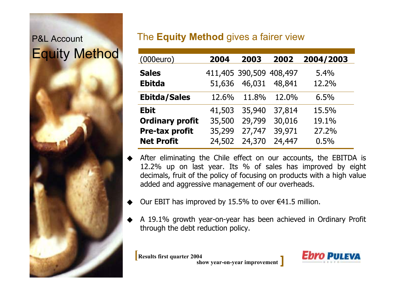# P&L Account Equity Method

#### The **Equity Method** gives <sup>a</sup> fairer view

| (000euro)              | 2004   | 2003                    | 2002   | 2004/2003 |
|------------------------|--------|-------------------------|--------|-----------|
| <b>Sales</b>           |        | 411,405 390,509 408,497 |        | 5.4%      |
| <b>Ebitda</b>          | 51,636 | 46,031                  | 48,841 | 12.2%     |
| <b>Ebitda/Sales</b>    | 12.6%  | 11.8%                   | 12.0%  | 6.5%      |
| <b>Ebit</b>            | 41,503 | 35,940                  | 37,814 | 15.5%     |
| <b>Ordinary profit</b> | 35,500 | 29,799                  | 30,016 | 19.1%     |
| Pre-tax profit         | 35,299 | 27,747                  | 39,971 | 27.2%     |
| <b>Net Profit</b>      | 24,502 | 24,370                  | 24,447 | 0.5%      |

- ◆ After eliminating the Chile effect on our accounts, the EBITDA is 12.2% up on last year. Its % of sales has improved by eight decimals, fruit of the policy of focusing on products with <sup>a</sup> high value added and aggressive management of our overheads.
- ◆Our EBIT has improved by 15.5% to over  $\epsilon$ 41.5 million.
- ◆ A 19.1% growth year-on-year has been achieved in Ordinary Profit through the debt reduction policy.

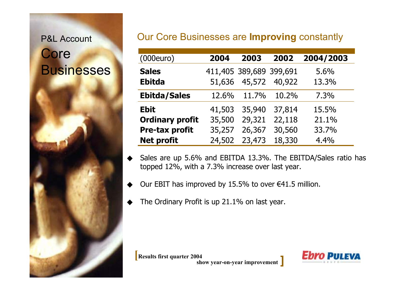#### P&L Account

# **Core Businesses**

#### Our Core Businesses are **Improving** constantly

| (000euro)              | 2004   | 2003                    | 2002   | 2004/2003 |
|------------------------|--------|-------------------------|--------|-----------|
| <b>Sales</b>           |        | 411,405 389,689 399,691 |        | 5.6%      |
| <b>Ebitda</b>          | 51,636 | 45,572                  | 40,922 | 13.3%     |
| <b>Ebitda/Sales</b>    | 12.6%  | 11.7%                   | 10.2%  | 7.3%      |
| <b>Ebit</b>            | 41,503 | 35,940                  | 37,814 | 15.5%     |
| <b>Ordinary profit</b> | 35,500 | 29,321                  | 22,118 | 21.1%     |
| Pre-tax profit         | 35,257 | 26,367                  | 30,560 | 33.7%     |
| <b>Net profit</b>      | 24,502 | 23,473                  | 18,330 | 4.4%      |

- ◆ Sales are up 5.6% and EBITDA 13.3%. The EBITDA/Sales ratio has topped 12%, with a 7.3% increase over last year.
- ◆Our EBIT has improved by 15.5% to over  $\epsilon$ 41.5 million.
- ◆The Ordinary Profit is up 21.1% on last year.

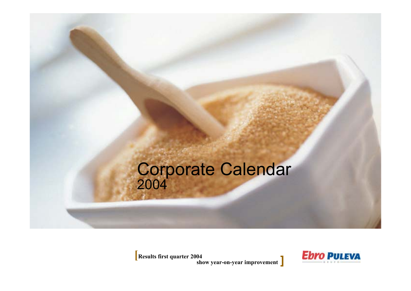# 2004 Corporate Calendar

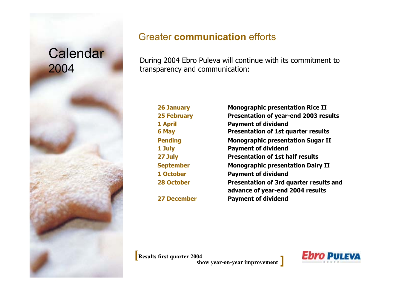

#### Greater **communication** efforts

During 2004 Ebro Puleva will continue with its commitment to transparency and communication:

**271 October**

**26 January Monographic presentation Rice II 25 February Presentation of year-end 2003 results 1 April Payment of dividend 6 May Presentation of 1st quarter results Pending Monographic presentation Sugar II 1 July Payment of dividend Presentation of 1st half results September Monographic presentation Dairy II Payment of dividend 28 October Presentation of 3rd quarter results and advance of year-end 2004 results 27 December Payment of dividend**

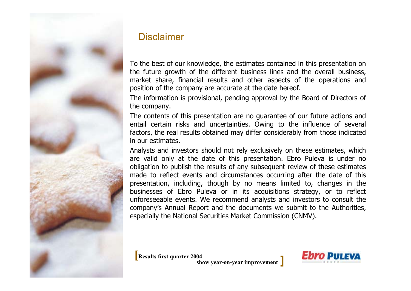

#### **Disclaimer**

To the best of our knowledge, the estimates contained in this presentation on the future growth of the different business lines and the overall business, market share, financial results and other aspects of the operations and position of the company are accurate at the date hereof.

The information is provisional, pending approval by the Board of Directors of the company.

The contents of this presentation are no guarantee of our future actions and entail certain risks and uncertainties. Owing to the influence of several factors, the real results obtained may differ considerably from those indicated in our estimates.

Analysts and investors should not rely exclusively on these estimates, which are valid only at the date of this presentation. Ebro Puleva is under no obligation to publish the results of any subsequent review of these estimates made to reflect events and circumstances occurring after the date of this presentation, including, though by no means limited to, changes in the businesses of Ebro Puleva or in its acquisitions strategy, or to reflect unforeseeable events. We recommend analysts and investors to consult the company's Annual Report and the documents we submit to the Authorities, especially the National Securities Market Commission (CNMV).